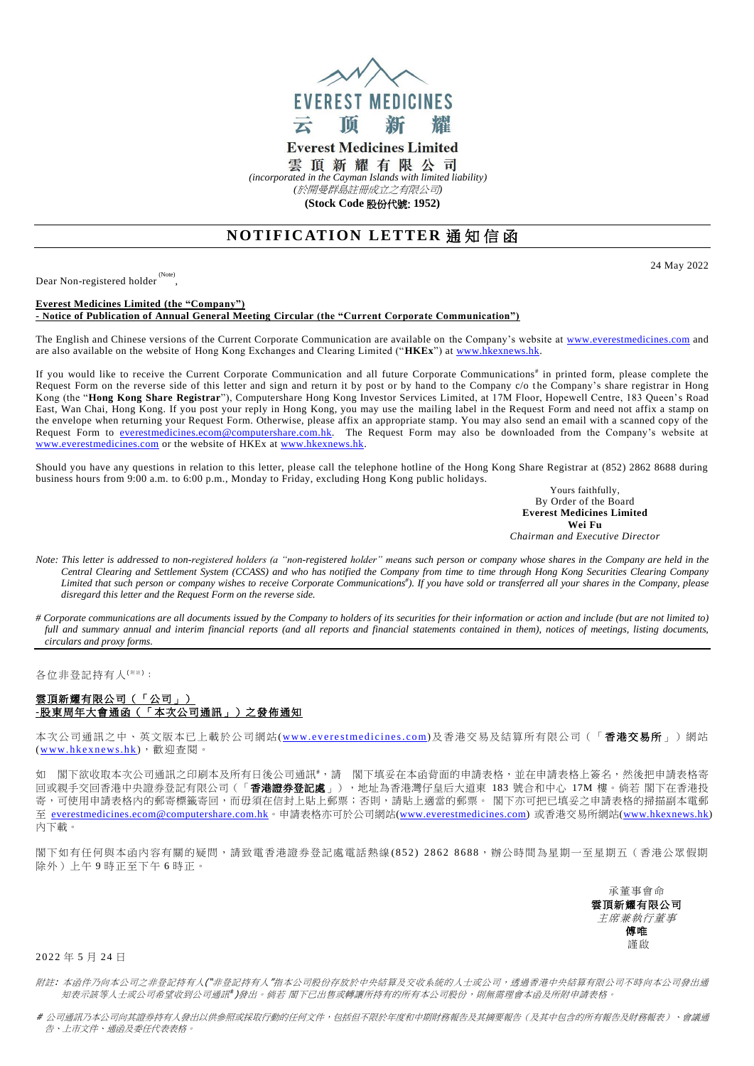

**Everest Medicines Limited** 雲頂新耀有限公司 *(incorporated in the Cayman Islands with limited liability)*

*(*於開曼群島註冊成立之有限公司*)*

**(Stock Code** 股份代號: **1952)**

# **NOTIFICATION LETTER 通知信函**

Dear Non-registered holder (Note) , 24 May 2022

### **Everest Medicines Limited (the "Company") - Notice of Publication of Annual General Meeting Circular (the "Current Corporate Communication")**

The English and Chinese versions of the Current Corporate Communication are available on the Company's website at [www.everestmedicines.com](https://www.everestmedicines.com/) and are also available on the website of Hong Kong Exchanges and Clearing Limited ("**HKEx**") at [www.hkexnews.hk.](http://www.hkexnews.hk/)

If you would like to receive the Current Corporate Communication and all future Corporate Communications<sup>#</sup> in printed form, please complete the Request Form on the reverse side of this letter and sign and return it by post or by hand to the Company c/o the Company's share registrar in Hong Kong (the "**Hong Kong Share Registrar**"), Computershare Hong Kong Investor Services Limited, at 17M Floor, Hopewell Centre, 183 Queen's Road East, Wan Chai, Hong Kong. If you post your reply in Hong Kong, you may use the mailing label in the Request Form and need not affix a stamp on the envelope when returning your Request Form. Otherwise, please affix an appropriate stamp. You may also send an email with a scanned copy of the Request Form to <u>everestmedicines.ecom@computershare.com.hk</u>. The Request Form may also be downloaded from the Company's website at [www.everestmedicines.com](https://www.everestmedicines.com/) or the website of HKEx a[t www.hkexnews.hk.](http://www.hkexnews.hk/)

Should you have any questions in relation to this letter, please call the telephone hotline of the Hong Kong Share Registrar at (852) 2862 8688 during business hours from 9:00 a.m. to 6:00 p.m., Monday to Friday, excluding Hong Kong public holidays.

Yours faithfully, By Order of the Board **Everest Medicines Limited Wei Fu** *Chairman and Executive Director*

- *Note: This letter is addressed to non-registered holders (a "non-registered holder" means such person or company whose shares in the Company are held in the Central Clearing and Settlement System (CCASS) and who has notified the Company from time to time through Hong Kong Securities Clearing Company Limited that such person or company wishes to receive Corporate Communications# ). If you have sold or transferred all your shares in the Company, please disregard this letter and the Request Form on the reverse side.*
- *# Corporate communications are all documents issued by the Company to holders of its securities for their information or action and include (but are not limited to) full and summary annual and interim financial reports (and all reports and financial statements contained in them), notices of meetings, listing documents, circulars and proxy forms.*

各位非登記持有人<sup>( 附注)</sup>:

## 雲頂新耀有限公司(「公司」) **-**股東周年大會通函(「本次公司通訊」)之發佈通知

本次公司通訊之中、英文版本已上載於公司網站(www.everestmedicines.com)及香港交易及結算所有限公司(「**香港交易所**」)網站 (www.hkexnews.hk),歡迎查閱。

如 閣下欲收取本次公司通訊之印刷本及所有日後公司通訊 #; 請 閣下填妥在本函背面的申請表格,並在申請表格上簽名,然後把申請表格寄 。<br>回或親手交回香港中央證券登記有限公司(「**香港證券登記處**」),地址為香港灣仔皇后大道東 183 號合和中心 17M 樓。倘若 閣下在香港投 寄,可使用申請表格內的郵寄標籤寄回,而毋須在信封上貼上郵票;否則,請貼上適當的郵票。 閣下亦可把已填妥之申請表格的掃描副本電郵 至 [everestmedicines.ecom@computershare.com.hk](mailto:everestmedicines.ecom@computershare.com.hk)。申請表格亦可於公司網站[\(www.everestmedicines.com\)](https://www.everestmedicines.com/) 或香港交易所網站[\(www.hkexnews.hk\)](http://www.hkexnews.hk/) 內下載。

閣下如有任何與本函內容有關的疑問,請致電香港證券登記處電話熱線 (8 5 2 ) 2 8 6 2 8 6 8 8,辦公時間為星期一至星期五(香港公眾假期 除外)上午 9 時正至下午 6 時正。

> 承董事會命 雲頂新耀有限公司 主席兼執行董事 傅唯 謹啟

2022年5月24日

附註: 本函件乃向本公司之非登記持有人("非登記持有人"指本公司股份存放於中央結算及交收系統的人士或公司,透過香港中央結算有限公司不時向本公司發出通 知表示該等人士或公司希望收到公司通訊 )發出。 倘若 閣下已出售或轉讓所持有的所有本公司股份,則無需理會本函及所附申請表格。

# 公司通訊乃本公司向其證券持有人發出以供參照或採取行動的任何文件,包括但不限於年度和中期財務報告及其摘要報告(及其中包含的所有報告及財務報表)、會議通 告、上市文件、通函及委任代表表格。